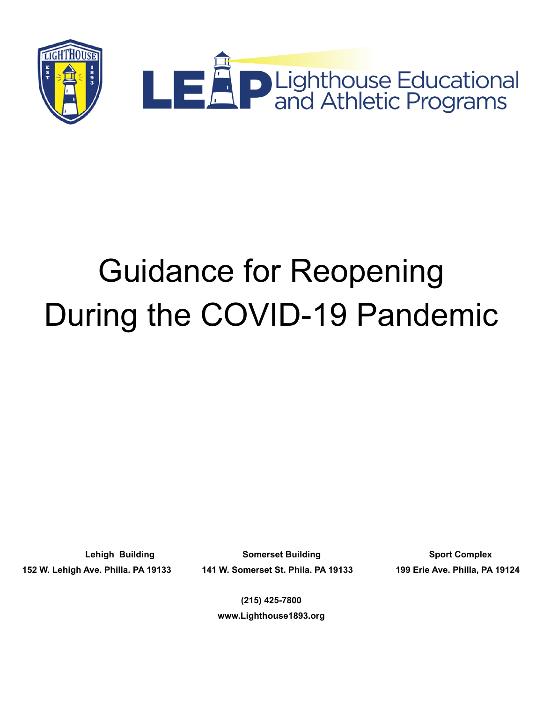

# Guidance for Reopening During the COVID-19 Pandemic

152 W. Lehigh Ave. Philla. PA 19133 141 W. Somerset St. Phila. PA 19133 199 Erie Ave. Philla, PA 19124

**Lehigh Building Somerset Building Sport Complex**

**(215) 425-7800 www.Lighthouse1893.org**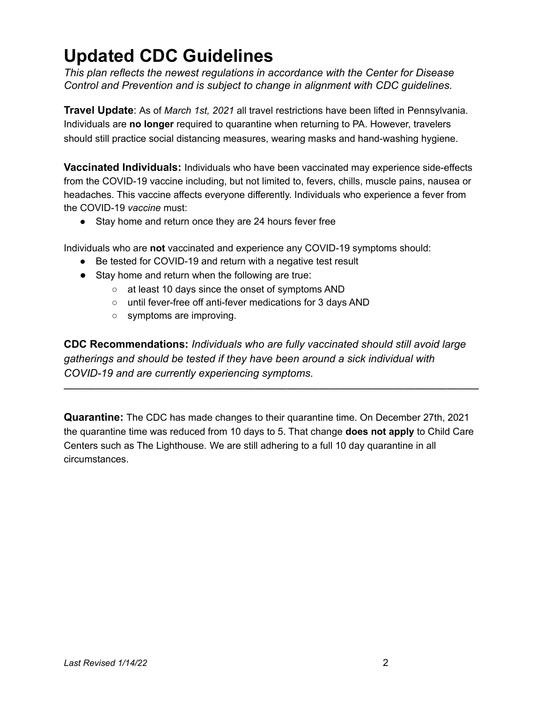# **Updated CDC Guidelines**

*This plan reflects the newest regulations in accordance with the Center for Disease Control and Prevention and is subject to change in alignment with CDC guidelines.*

**Travel Update**: As of *March 1st, 2021* all travel restrictions have been lifted in Pennsylvania. Individuals are **no longer** required to quarantine when returning to PA. However, travelers should still practice social distancing measures, wearing masks and hand-washing hygiene.

**Vaccinated Individuals:** Individuals who have been vaccinated may experience side-effects from the COVID-19 vaccine including, but not limited to, fevers, chills, muscle pains, nausea or headaches. This vaccine affects everyone differently. Individuals who experience a fever from the COVID-19 *vaccine* must:

• Stay home and return once they are 24 hours fever free

Individuals who are **not** vaccinated and experience any COVID-19 symptoms should:

- Be tested for COVID-19 and return with a negative test result
- Stay home and return when the following are true:
	- at least 10 days since the onset of symptoms AND
	- until fever-free off anti-fever medications for 3 days AND
	- symptoms are improving.

**CDC Recommendations:** *Individuals who are fully vaccinated should still avoid large gatherings and should be tested if they have been around a sick individual with COVID-19 and are currently experiencing symptoms.*

———————————————————————————————————————

**Quarantine:** The CDC has made changes to their quarantine time. On December 27th, 2021 the quarantine time was reduced from 10 days to 5. That change **does not apply** to Child Care Centers such as The Lighthouse. We are still adhering to a full 10 day quarantine in all circumstances.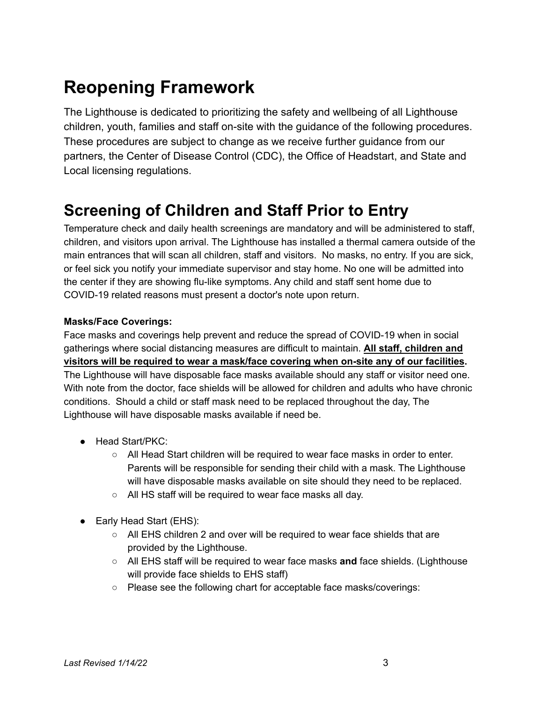# **Reopening Framework**

The Lighthouse is dedicated to prioritizing the safety and wellbeing of all Lighthouse children, youth, families and staff on-site with the guidance of the following procedures. These procedures are subject to change as we receive further guidance from our partners, the Center of Disease Control (CDC), the Office of Headstart, and State and Local licensing regulations.

# **Screening of Children and Staff Prior to Entry**

Temperature check and daily health screenings are mandatory and will be administered to staff, children, and visitors upon arrival. The Lighthouse has installed a thermal camera outside of the main entrances that will scan all children, staff and visitors. No masks, no entry. If you are sick, or feel sick you notify your immediate supervisor and stay home. No one will be admitted into the center if they are showing flu-like symptoms. Any child and staff sent home due to COVID-19 related reasons must present a doctor's note upon return.

#### **Masks/Face Coverings:**

Face masks and coverings help prevent and reduce the spread of COVID-19 when in social gatherings where social distancing measures are difficult to maintain. **All staff, children and visitors will be required to wear a mask/face covering when on-site any of our facilities.** The Lighthouse will have disposable face masks available should any staff or visitor need one. With note from the doctor, face shields will be allowed for children and adults who have chronic conditions. Should a child or staff mask need to be replaced throughout the day, The Lighthouse will have disposable masks available if need be.

- Head Start/PKC:
	- All Head Start children will be required to wear face masks in order to enter. Parents will be responsible for sending their child with a mask. The Lighthouse will have disposable masks available on site should they need to be replaced.
	- All HS staff will be required to wear face masks all day.
- Early Head Start (EHS):
	- All EHS children 2 and over will be required to wear face shields that are provided by the Lighthouse.
	- All EHS staff will be required to wear face masks **and** face shields. (Lighthouse will provide face shields to EHS staff)
	- Please see the following chart for acceptable face masks/coverings: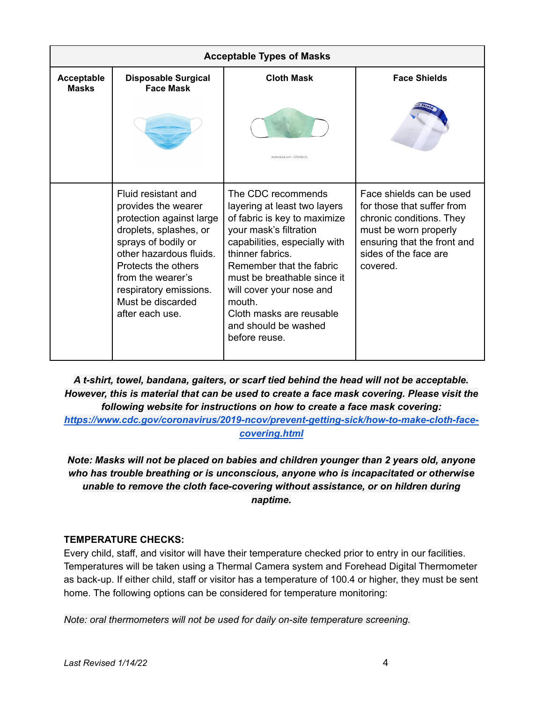| <b>Acceptable Types of Masks</b>  |                                                                                                                                                                                                                                                                  |                                                                                                                                                                                                                                                                                                                                         |                                                                                                                                                                                 |  |  |  |
|-----------------------------------|------------------------------------------------------------------------------------------------------------------------------------------------------------------------------------------------------------------------------------------------------------------|-----------------------------------------------------------------------------------------------------------------------------------------------------------------------------------------------------------------------------------------------------------------------------------------------------------------------------------------|---------------------------------------------------------------------------------------------------------------------------------------------------------------------------------|--|--|--|
| <b>Acceptable</b><br><b>Masks</b> | <b>Disposable Surgical</b><br><b>Face Mask</b>                                                                                                                                                                                                                   | <b>Cloth Mask</b>                                                                                                                                                                                                                                                                                                                       | <b>Face Shields</b>                                                                                                                                                             |  |  |  |
|                                   |                                                                                                                                                                                                                                                                  | Itterstock.com . 170236515                                                                                                                                                                                                                                                                                                              |                                                                                                                                                                                 |  |  |  |
|                                   | Fluid resistant and<br>provides the wearer<br>protection against large<br>droplets, splashes, or<br>sprays of bodily or<br>other hazardous fluids.<br>Protects the others<br>from the wearer's<br>respiratory emissions.<br>Must be discarded<br>after each use. | The CDC recommends<br>layering at least two layers<br>of fabric is key to maximize<br>your mask's filtration<br>capabilities, especially with<br>thinner fabrics.<br>Remember that the fabric<br>must be breathable since it<br>will cover your nose and<br>mouth.<br>Cloth masks are reusable<br>and should be washed<br>before reuse. | Face shields can be used<br>for those that suffer from<br>chronic conditions. They<br>must be worn properly<br>ensuring that the front and<br>sides of the face are<br>covered. |  |  |  |

*A t-shirt, towel, bandana, gaiters, or scarf tied behind the head will not be acceptable. However, this is material that can be used to create a face mask covering. Please visit the following website for instructions on how to create a face mask covering: [https://www.cdc.gov/coronavirus/2019-ncov/prevent-getting-sick/how-to-make-cloth-face-](https://www.cdc.gov/coronavirus/2019-ncov/prevent-getting-sick/how-to-make-cloth-face-covering.html)*

*[covering.html](https://www.cdc.gov/coronavirus/2019-ncov/prevent-getting-sick/how-to-make-cloth-face-covering.html)*

*Note: Masks will not be placed on babies and children younger than 2 years old, anyone who has trouble breathing or is unconscious, anyone who is incapacitated or otherwise unable to remove the cloth face-covering without assistance, or on hildren during naptime.*

#### **TEMPERATURE CHECKS:**

Every child, staff, and visitor will have their temperature checked prior to entry in our facilities. Temperatures will be taken using a Thermal Camera system and Forehead Digital Thermometer as back-up. If either child, staff or visitor has a temperature of 100.4 or higher, they must be sent home. The following options can be considered for temperature monitoring:

*Note: oral thermometers will not be used for daily on-site temperature screening.*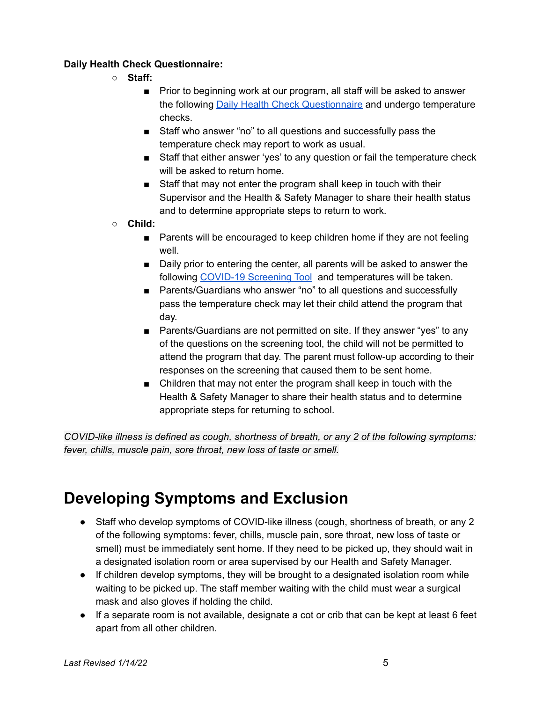#### **Daily Health Check Questionnaire:**

- **○ Staff:**
	- Prior to beginning work at our program, all staff will be asked to answer the following Daily Health Check [Questionnaire](https://docs.google.com/document/d/12VjV2BZf4hKKRR_rEHcRgF8X8_LTMehHwYEpFtINUl0/edit) and undergo temperature checks.
	- Staff who answer "no" to all questions and successfully pass the temperature check may report to work as usual.
	- Staff that either answer 'yes' to any question or fail the temperature check will be asked to return home.
	- Staff that may not enter the program shall keep in touch with their Supervisor and the Health & Safety Manager to share their health status and to determine appropriate steps to return to work.
- **○ Child:**
	- Parents will be encouraged to keep children home if they are not feeling well.
	- Daily prior to entering the center, all parents will be asked to answer the following [COVID-19](https://drive.google.com/drive/folders/18W3jqCrNDe5Q2ttg7VeHX_LHMAqJcWX0) Screening Tool and temperatures will be taken.
	- Parents/Guardians who answer "no" to all questions and successfully pass the temperature check may let their child attend the program that day.
	- Parents/Guardians are not permitted on site. If they answer "yes" to any of the questions on the screening tool, the child will not be permitted to attend the program that day. The parent must follow-up according to their responses on the screening that caused them to be sent home.
	- Children that may not enter the program shall keep in touch with the Health & Safety Manager to share their health status and to determine appropriate steps for returning to school.

*COVID-like illness is defined as cough, shortness of breath, or any 2 of the following symptoms: fever, chills, muscle pain, sore throat, new loss of taste or smell.*

# **Developing Symptoms and Exclusion**

- Staff who develop symptoms of COVID-like illness (cough, shortness of breath, or any 2 of the following symptoms: fever, chills, muscle pain, sore throat, new loss of taste or smell) must be immediately sent home. If they need to be picked up, they should wait in a designated isolation room or area supervised by our Health and Safety Manager.
- If children develop symptoms, they will be brought to a designated isolation room while waiting to be picked up. The staff member waiting with the child must wear a surgical mask and also gloves if holding the child.
- If a separate room is not available, designate a cot or crib that can be kept at least 6 feet apart from all other children.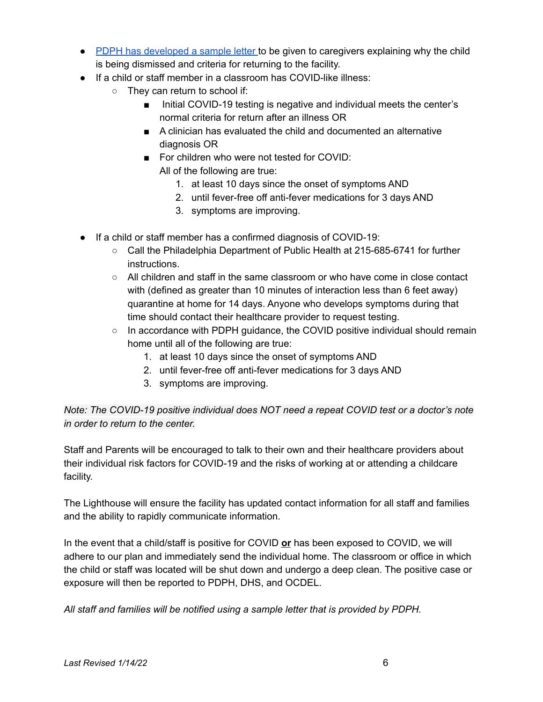- PDPH has [developed](https://www.phila.gov/documents/resources-for-child-care-and-summer-camp-operators-during-covid-19/) a sample letter to be given to caregivers explaining why the child is being dismissed and criteria for returning to the facility.
- If a child or staff member in a classroom has COVID-like illness:
	- They can return to school if:
		- Initial COVID-19 testing is negative and individual meets the center's normal criteria for return after an illness OR
		- A clinician has evaluated the child and documented an alternative diagnosis OR
		- For children who were not tested for COVID: All of the following are true:
			- 1. at least 10 days since the onset of symptoms AND
			- 2. until fever-free off anti-fever medications for 3 days AND
			- 3. symptoms are improving.
- If a child or staff member has a confirmed diagnosis of COVID-19:
	- Call the Philadelphia Department of Public Health at 215-685-6741 for further instructions.
	- All children and staff in the same classroom or who have come in close contact with (defined as greater than 10 minutes of interaction less than 6 feet away) quarantine at home for 14 days. Anyone who develops symptoms during that time should contact their healthcare provider to request testing.
	- $\circ$  In accordance with PDPH guidance, the COVID positive individual should remain home until all of the following are true:
		- 1. at least 10 days since the onset of symptoms AND
		- 2. until fever-free off anti-fever medications for 3 days AND
		- 3. symptoms are improving.

#### *Note: The COVID-19 positive individual does NOT need a repeat COVID test or a doctor's note in order to return to the center.*

Staff and Parents will be encouraged to talk to their own and their healthcare providers about their individual risk factors for COVID-19 and the risks of working at or attending a childcare facility.

The Lighthouse will ensure the facility has updated contact information for all staff and families and the ability to rapidly communicate information.

In the event that a child/staff is positive for COVID **or** has been exposed to COVID, we will adhere to our plan and immediately send the individual home. The classroom or office in which the child or staff was located will be shut down and undergo a deep clean. The positive case or exposure will then be reported to PDPH, DHS, and OCDEL.

*All staff and families will be notified using a sample letter that is provided by PDPH.*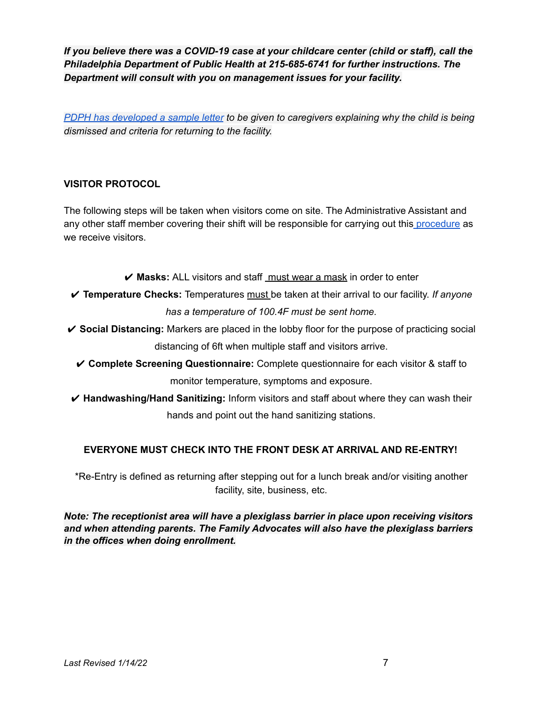*If you believe there was a COVID-19 case at your childcare center (child or staff), call the Philadelphia Department of Public Health at 215-685-6741 for further instructions. The Department will consult with you on management issues for your facility.*

*PDPH has [developed](https://drive.google.com/drive/folders/18W3jqCrNDe5Q2ttg7VeHX_LHMAqJcWX0) a sample letter to be given to caregivers explaining why the child is being dismissed and criteria for returning to the facility.*

#### **VISITOR PROTOCOL**

The following steps will be taken when visitors come on site. The Administrative Assistant and any other staff member covering their shift will be responsible for carrying out this [procedure](https://docs.google.com/document/d/1JE9CMegDz2g5OyAGkzR8kSiDRMt7BWfluGqw6wjwgBg/edit) as we receive visitors.

✔ **Masks:** ALL visitors and staff must wear a mask in order to enter

- ✔ **Temperature Checks:** Temperatures must be taken at their arrival to our facility. *If anyone has a temperature of 100.4F must be sent home.*
- ✔ **Social Distancing:** Markers are placed in the lobby floor for the purpose of practicing social distancing of 6ft when multiple staff and visitors arrive.
	- ✔ **Complete Screening Questionnaire:** Complete questionnaire for each visitor & staff to monitor temperature, symptoms and exposure.
- ✔ **Handwashing/Hand Sanitizing:** Inform visitors and staff about where they can wash their hands and point out the hand sanitizing stations.

#### **EVERYONE MUST CHECK INTO THE FRONT DESK AT ARRIVAL AND RE-ENTRY!**

\*Re-Entry is defined as returning after stepping out for a lunch break and/or visiting another facility, site, business, etc.

*Note: The receptionist area will have a plexiglass barrier in place upon receiving visitors and when attending parents. The Family Advocates will also have the plexiglass barriers in the offices when doing enrollment.*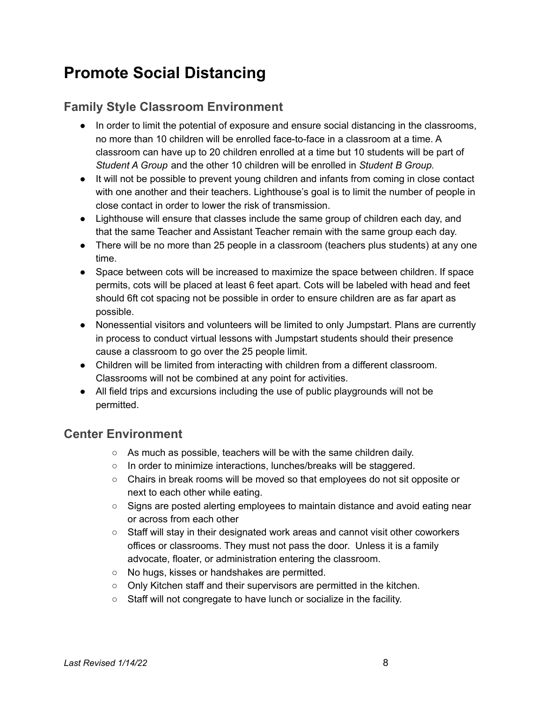# **Promote Social Distancing**

### **Family Style Classroom Environment**

- In order to limit the potential of exposure and ensure social distancing in the classrooms, no more than 10 children will be enrolled face-to-face in a classroom at a time. A classroom can have up to 20 children enrolled at a time but 10 students will be part of *Student A Group* and the other 10 children will be enrolled in *Student B Group.*
- It will not be possible to prevent young children and infants from coming in close contact with one another and their teachers. Lighthouse's goal is to limit the number of people in close contact in order to lower the risk of transmission.
- Lighthouse will ensure that classes include the same group of children each day, and that the same Teacher and Assistant Teacher remain with the same group each day.
- There will be no more than 25 people in a classroom (teachers plus students) at any one time.
- Space between cots will be increased to maximize the space between children. If space permits, cots will be placed at least 6 feet apart. Cots will be labeled with head and feet should 6ft cot spacing not be possible in order to ensure children are as far apart as possible.
- Nonessential visitors and volunteers will be limited to only Jumpstart. Plans are currently in process to conduct virtual lessons with Jumpstart students should their presence cause a classroom to go over the 25 people limit.
- Children will be limited from interacting with children from a different classroom. Classrooms will not be combined at any point for activities.
- All field trips and excursions including the use of public playgrounds will not be permitted.

#### **Center Environment**

- As much as possible, teachers will be with the same children daily.
- In order to minimize interactions, lunches/breaks will be staggered.
- Chairs in break rooms will be moved so that employees do not sit opposite or next to each other while eating.
- Signs are posted alerting employees to maintain distance and avoid eating near or across from each other
- Staff will stay in their designated work areas and cannot visit other coworkers offices or classrooms. They must not pass the door. Unless it is a family advocate, floater, or administration entering the classroom.
- No hugs, kisses or handshakes are permitted.
- Only Kitchen staff and their supervisors are permitted in the kitchen.
- Staff will not congregate to have lunch or socialize in the facility.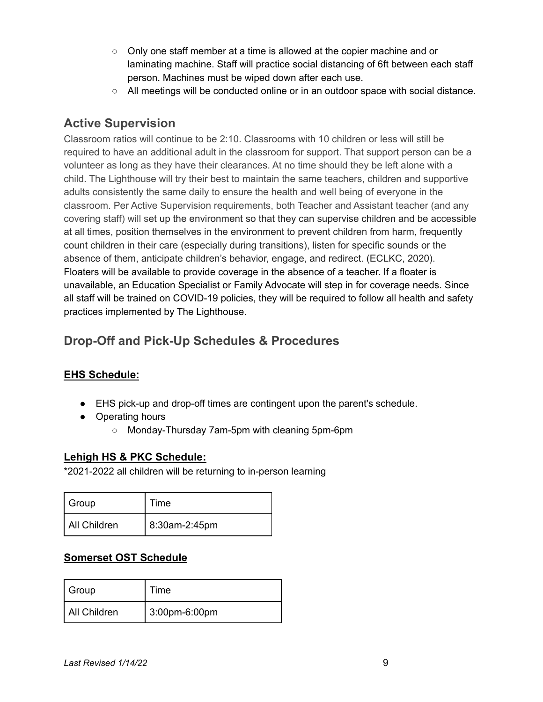- $\circ$  Only one staff member at a time is allowed at the copier machine and or laminating machine. Staff will practice social distancing of 6ft between each staff person. Machines must be wiped down after each use.
- All meetings will be conducted online or in an outdoor space with social distance.

### **Active Supervision**

Classroom ratios will continue to be 2:10. Classrooms with 10 children or less will still be required to have an additional adult in the classroom for support. That support person can be a volunteer as long as they have their clearances. At no time should they be left alone with a child. The Lighthouse will try their best to maintain the same teachers, children and supportive adults consistently the same daily to ensure the health and well being of everyone in the classroom. Per Active Supervision requirements, both Teacher and Assistant teacher (and any covering staff) will set up the environment so that they can supervise children and be accessible at all times, position themselves in the environment to prevent children from harm, frequently count children in their care (especially during transitions), listen for specific sounds or the absence of them, anticipate children's behavior, engage, and redirect. (ECLKC, 2020). Floaters will be available to provide coverage in the absence of a teacher. If a floater is unavailable, an Education Specialist or Family Advocate will step in for coverage needs. Since all staff will be trained on COVID-19 policies, they will be required to follow all health and safety practices implemented by The Lighthouse.

## **Drop-Off and Pick-Up Schedules & Procedures**

#### **EHS Schedule:**

- EHS pick-up and drop-off times are contingent upon the parent's schedule.
- Operating hours
	- Monday-Thursday 7am-5pm with cleaning 5pm-6pm

#### **Lehigh HS & PKC Schedule:**

\*2021-2022 all children will be returning to in-person learning

| Group        | Time          |
|--------------|---------------|
| All Children | 8:30am-2:45pm |

#### **Somerset OST Schedule**

| Group        | Time          |
|--------------|---------------|
| All Children | 3:00pm-6:00pm |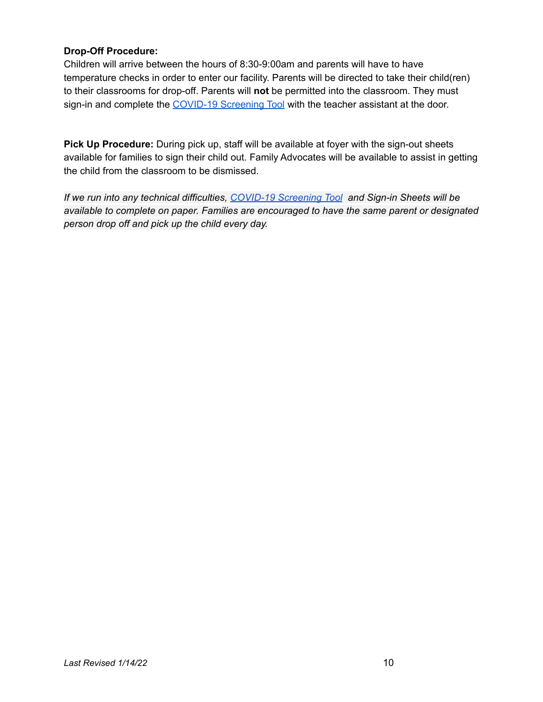#### **Drop-Off Procedure:**

Children will arrive between the hours of 8:30-9:00am and parents will have to have temperature checks in order to enter our facility. Parents will be directed to take their child(ren) to their classrooms for drop-off. Parents will **not** be permitted into the classroom. They must sign-in and complete the [COVID-19](https://drive.google.com/drive/folders/18W3jqCrNDe5Q2ttg7VeHX_LHMAqJcWX0) Screening Tool with the teacher assistant at the door.

**Pick Up Procedure:** During pick up, staff will be available at foyer with the sign-out sheets available for families to sign their child out. Family Advocates will be available to assist in getting the child from the classroom to be dismissed.

*If we run into any technical difficulties, [COVID-19](https://drive.google.com/drive/folders/18W3jqCrNDe5Q2ttg7VeHX_LHMAqJcWX0) Screening Tool and Sign-in Sheets will be available to complete on paper. Families are encouraged to have the same parent or designated person drop off and pick up the child every day.*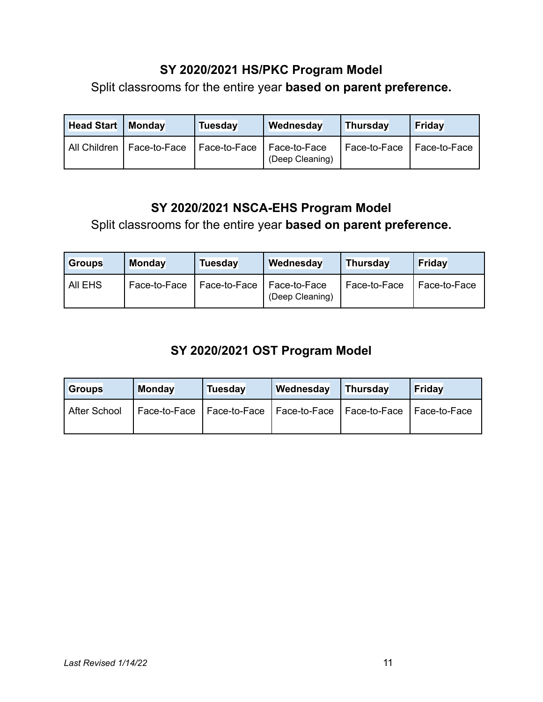### **SY 2020/2021 HS/PKC Program Model**

Split classrooms for the entire year **based on parent preference.**

| <b>Head Start</b> | <b>Monday</b>               | Tuesday      | Wednesday                         | <b>Thursday</b>             | Friday |
|-------------------|-----------------------------|--------------|-----------------------------------|-----------------------------|--------|
|                   | All Children   Face-to-Face | Face-to-Face | l Face-to-Face<br>(Deep Cleaning) | Face-to-Face   Face-to-Face |        |

### **SY 2020/2021 NSCA-EHS Program Model**

Split classrooms for the entire year **based on parent preference.**

| <b>Groups</b> | <b>Monday</b> | Tuesday      | Wednesday                       | Thursday     | Friday       |
|---------------|---------------|--------------|---------------------------------|--------------|--------------|
| AII EHS       | Face-to-Face  | Face-to-Face | Face-to-Face<br>(Deep Cleaning) | Face-to-Face | Face-to-Face |

## **SY 2020/2021 OST Program Model**

| <b>Groups</b> | <b>Monday</b> | Tuesday                                                   | Wednesday | Thursday | Friday         |
|---------------|---------------|-----------------------------------------------------------|-----------|----------|----------------|
| After School  |               | Face-to-Face   Face-to-Face   Face-to-Face   Face-to-Face |           |          | I Face-to-Face |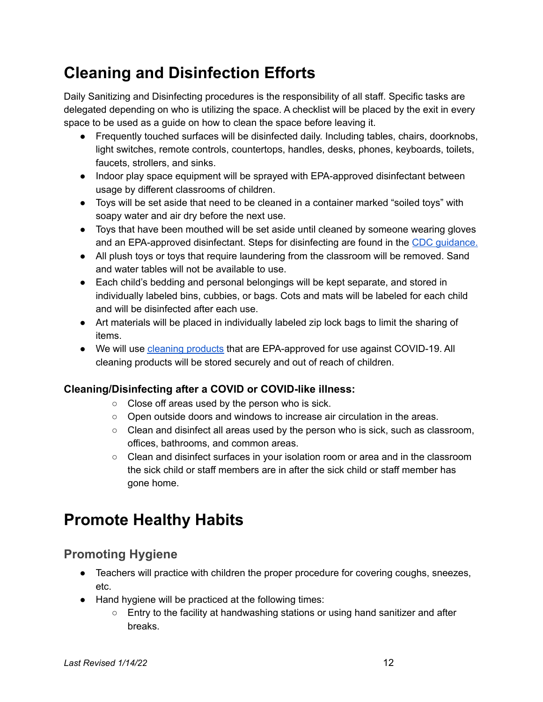# **Cleaning and Disinfection Efforts**

Daily Sanitizing and Disinfecting procedures is the responsibility of all staff. Specific tasks are delegated depending on who is utilizing the space. A checklist will be placed by the exit in every space to be used as a guide on how to clean the space before leaving it.

- Frequently touched surfaces will be disinfected daily. Including tables, chairs, doorknobs, light switches, remote controls, countertops, handles, desks, phones, keyboards, toilets, faucets, strollers, and sinks.
- Indoor play space equipment will be sprayed with EPA-approved disinfectant between usage by different classrooms of children.
- Toys will be set aside that need to be cleaned in a container marked "soiled toys" with soapy water and air dry before the next use.
- Toys that have been mouthed will be set aside until cleaned by someone wearing gloves and an EPA-approved disinfectant. Steps for disinfecting are found in the CDC [guidance.](https://www.cdc.gov/coronavirus/2019-ncov/community/schools-childcare/guidance-for-childcare.html#HandHygiene)
- All plush toys or toys that require laundering from the classroom will be removed. Sand and water tables will not be available to use.
- Each child's bedding and personal belongings will be kept separate, and stored in individually labeled bins, cubbies, or bags. Cots and mats will be labeled for each child and will be disinfected after each use.
- Art materials will be placed in individually labeled zip lock bags to limit the sharing of items.
- We will use cleaning [products](https://www.epa.gov/pesticide-registration/list-n-disinfectants-use-against-sars-cov-2-covid-19) that are EPA-approved for use against COVID-19. All cleaning products will be stored securely and out of reach of children.

#### **Cleaning/Disinfecting after a COVID or COVID-like illness:**

- Close off areas used by the person who is sick.
- $\circ$  Open outside doors and windows to increase air circulation in the areas.
- $\circ$  Clean and disinfect all areas used by the person who is sick, such as classroom, offices, bathrooms, and common areas.
- $\circ$  Clean and disinfect surfaces in your isolation room or area and in the classroom the sick child or staff members are in after the sick child or staff member has gone home.

# **Promote Healthy Habits**

### **Promoting Hygiene**

- Teachers will practice with children the proper procedure for covering coughs, sneezes, etc.
- Hand hygiene will be practiced at the following times:
	- $\circ$  Entry to the facility at handwashing stations or using hand sanitizer and after breaks.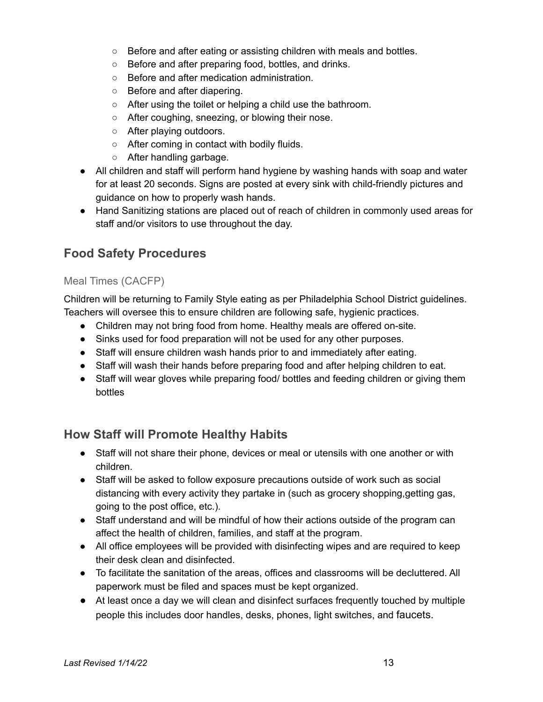- Before and after eating or assisting children with meals and bottles.
- Before and after preparing food, bottles, and drinks.
- Before and after medication administration.
- Before and after diapering.
- After using the toilet or helping a child use the bathroom.
- After coughing, sneezing, or blowing their nose.
- After playing outdoors.
- After coming in contact with bodily fluids.
- After handling garbage.
- All children and staff will perform hand hygiene by washing hands with soap and water for at least 20 seconds. Signs are posted at every sink with child-friendly pictures and guidance on how to properly wash hands.
- Hand Sanitizing stations are placed out of reach of children in commonly used areas for staff and/or visitors to use throughout the day.

## **Food Safety Procedures**

#### Meal Times (CACFP)

Children will be returning to Family Style eating as per Philadelphia School District guidelines. Teachers will oversee this to ensure children are following safe, hygienic practices.

- Children may not bring food from home. Healthy meals are offered on-site.
- Sinks used for food preparation will not be used for any other purposes.
- Staff will ensure children wash hands prior to and immediately after eating.
- Staff will wash their hands before preparing food and after helping children to eat.
- Staff will wear gloves while preparing food/ bottles and feeding children or giving them bottles

### **How Staff will Promote Healthy Habits**

- Staff will not share their phone, devices or meal or utensils with one another or with children.
- Staff will be asked to follow exposure precautions outside of work such as social distancing with every activity they partake in (such as grocery shopping,getting gas, going to the post office, etc.).
- Staff understand and will be mindful of how their actions outside of the program can affect the health of children, families, and staff at the program.
- All office employees will be provided with disinfecting wipes and are required to keep their desk clean and disinfected.
- To facilitate the sanitation of the areas, offices and classrooms will be decluttered. All paperwork must be filed and spaces must be kept organized.
- At least once a day we will clean and disinfect surfaces frequently touched by multiple people this includes door handles, desks, phones, light switches, and faucets.